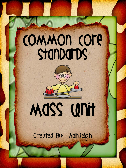## COMMON COFE Stanbarbs

# Mass Unit

 $\propto$ 

Created By: Ashleigh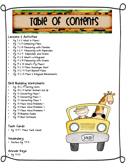### Table of Contents

#### *Lessons & Activities*

- *Pg. 5 & 6 What is Mass?*
- *Pg. 7 & 8 Comparing Mass*
- *Pg. 9 & 10 Measuring with Marbles*
- *Pg. 11 & 12 Measuring with Paperclips*
- *Pg. 13 & 14 Paperclips and Grams*
- *Pg. 15 & 16 What's a Kilogram?*
- *Pg. 17 & 18 Measuring with Grams*
- *Pg. 19 & 20 What's My Mass?*
- *Pg. 21 & 22 Mass Scavenger Hunt*
- *Pg. 23 & 24 Fruit Basket Mass*
- *Pg. 25 & 26 Mass & Kilogram Benchmarks*

#### *Skill Building Worksheets*

- *Pg. 28 & 29 Sorting Units*
- *Pg. 30 & 31 Safari Animal Line Up*
- *Pg. 32 Converting Mass 1*
- *Pg. 33 Converting Mass 2*
- *Pg. 34 Converting Mass 3*
- *Pg. 35 Mass Word Problems 1*
- *Pg. 36 Mass Word Problems 2*
- *Pg. 37 Mass Word Problems 3*
- *Pg. 38 Balance Scales*
- *Pg. 39 Best Estimate*

#### *Task Cards*

• *Pg. 41-47 Mass Task Cards* 

#### *Vocabulary*

• *Posters Pg. 49-51* 

#### *Answer Keys*

• *Pg. 53-62* 

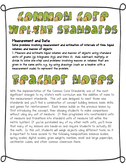

#### *Measurement and Data*

*Solve problems involving measurement and estimation of intervals of time, liquid volumes, and masses of objects.*

*2. Measure and estimate liquid volumes and masses of objects using standard units of grams (g), kilograms (kg), and liters (l). Add, subtract, multiply, or divide to solve one-step word problems involving masses or volumes that are given in the same units, e.g., by using drawings (such as a beaker with a measurement scale) to represent the problem.* 



With the implementation of the Common Core Standards, one of the most significant changes to my state's math curriculum was the addition of mass to the measurement standards. This unit was designed to meet those new standards and you'll find a combination of concept building lessons, basic skills, and games for reinforcement. Each lesson builds on the previous lesson by first introducing the concept, then allowing students to make comparisons without using any unit of measure. It then progresses into nonstandard units of measure and transitions into standard units of measure (all within the metric system). If you've purchased any of my other math units, you'll know that many of my lessons are hands-on and require students to actually DO the math. In this unit, students will weigh objects using different tools, so it is important to have access to the following manipulatives: balance scales, spring scales, digital scales, gram weights, marbles, small and large paperclips, centimeter cubes, and other common classroom items.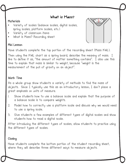#### *What is Mass?*

#### **Materials**

- Variety of scales (balance scales, digital scales, spring scales, platform scales, etc.)
- Variety of classroom items
- What is Mass? Recording sheet

#### Mini Lesson

Have students complete the top portion of the recording sheet (Mass KWL).

Then using the KWL chart as a spring board, describe the meaning of mass. I like to define it as, "the amount of matter something contains". I also use this time to explain that mass is similar to weight, because "weight is the measurement of the pull of gravity on an object".

#### Work Time

As a whole group show students a variety of methods to find the mass of objects. Since I typically use this as an introductory lesson, I don't place a great emphasis on units of measure.

- Show students how to use a balance scale and explain that the purpose of a balance scale is to compare weights.
- 2. Model how to correctly use a platform scale and discuss why we would need to use a spring scale.
- 3. Give students a few examples of different types of digital scales and show students how to read a digital scale.

After introducing the different types of scales, allow students to practice using the different types of scales.

#### Closing

Have students complete the bottom portion of the student recording sheet, where they will describe three different ways to measure objects.

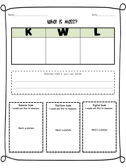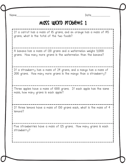Name\_\_\_\_\_\_\_\_\_\_\_\_\_\_\_\_\_\_\_\_\_\_\_\_\_\_\_\_ Date\_\_\_\_\_\_\_\_\_\_\_\_\_\_\_\_

#### Mass Word Problems 1

If a carrot has a mass of 115 grams, and an orange has a mass of 145 grams, what is the total of the two foods?

A banana has a mass of 120 grams and a watermelon weighs 3,000 grams. How many more grams is the watermelon than the banana?

If a strawberry has a mass of 24 grams, and a mango has a mass of 200 grams. How many more grams is the mango than a strawberry?

Three apples have a mass of 600 grams. If each apple has the same mass, how many grams is each apple?

If three lemons have a mass of 150 grams each, what is the mass of 4 lemons?

Five strawberries have a mass of 125 grams. How many grams is each strawberry?